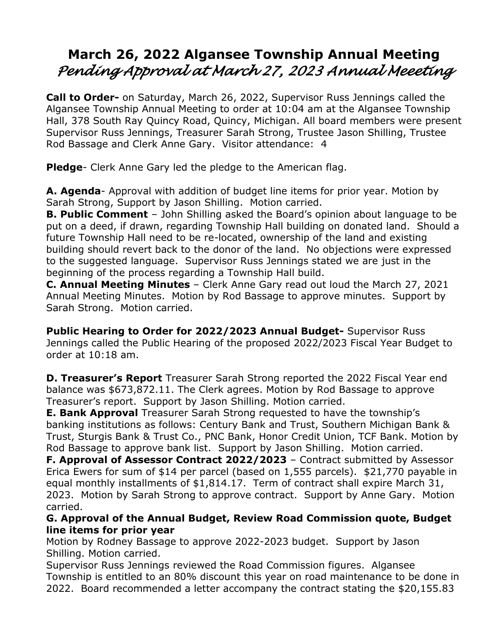## **March 26, 2022 Algansee Township Annual Meeting** *Pending Approval at March 27, 2023 Annual Meeeting*

**Call to Order-** on Saturday, March 26, 2022, Supervisor Russ Jennings called the Algansee Township Annual Meeting to order at 10:04 am at the Algansee Township Hall, 378 South Ray Quincy Road, Quincy, Michigan. All board members were present Supervisor Russ Jennings, Treasurer Sarah Strong, Trustee Jason Shilling, Trustee Rod Bassage and Clerk Anne Gary. Visitor attendance: 4

**Pledge**- Clerk Anne Gary led the pledge to the American flag.

**A. Agenda**- Approval with addition of budget line items for prior year. Motion by Sarah Strong, Support by Jason Shilling. Motion carried.

**B. Public Comment** – John Shilling asked the Board's opinion about language to be put on a deed, if drawn, regarding Township Hall building on donated land. Should a future Township Hall need to be re-located, ownership of the land and existing building should revert back to the donor of the land. No objections were expressed to the suggested language. Supervisor Russ Jennings stated we are just in the beginning of the process regarding a Township Hall build.

**C. Annual Meeting Minutes** – Clerk Anne Gary read out loud the March 27, 2021 Annual Meeting Minutes.Motion by Rod Bassage to approve minutes. Support by Sarah Strong. Motion carried.

**Public Hearing to Order for 2022/2023 Annual Budget-** Supervisor Russ Jennings called the Public Hearing of the proposed 2022/2023 Fiscal Year Budget to order at 10:18 am.

**D. Treasurer's Report** Treasurer Sarah Strong reported the 2022 Fiscal Year end balance was \$673,872.11. The Clerk agrees. Motion by Rod Bassage to approve Treasurer's report. Support by Jason Shilling. Motion carried.

**E. Bank Approval** Treasurer Sarah Strong requested to have the township's banking institutions as follows: Century Bank and Trust, Southern Michigan Bank & Trust, Sturgis Bank & Trust Co., PNC Bank, Honor Credit Union, TCF Bank. Motion by Rod Bassage to approve bank list. Support by Jason Shilling. Motion carried.

**F. Approval of Assessor Contract 2022/2023** – Contract submitted by Assessor Erica Ewers for sum of \$14 per parcel (based on 1,555 parcels). \$21,770 payable in equal monthly installments of \$1,814.17. Term of contract shall expire March 31, 2023. Motion by Sarah Strong to approve contract. Support by Anne Gary. Motion carried.

## **G. Approval of the Annual Budget, Review Road Commission quote, Budget line items for prior year**

Motion by Rodney Bassage to approve 2022-2023 budget. Support by Jason Shilling. Motion carried.

Supervisor Russ Jennings reviewed the Road Commission figures. Algansee Township is entitled to an 80% discount this year on road maintenance to be done in 2022. Board recommended a letter accompany the contract stating the \$20,155.83